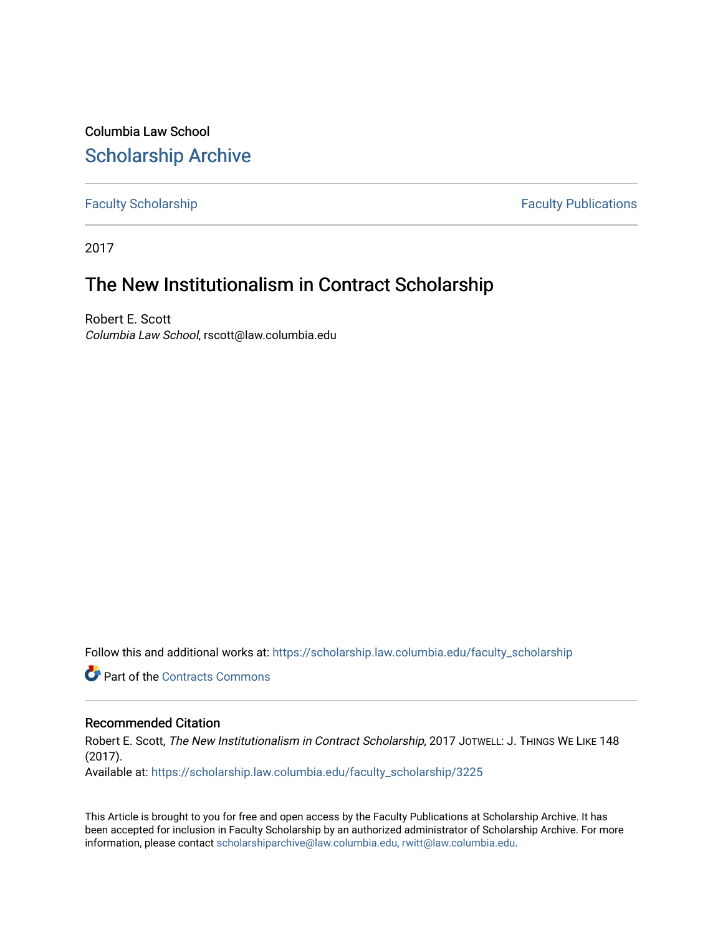Columbia Law School [Scholarship Archive](https://scholarship.law.columbia.edu/) 

[Faculty Scholarship](https://scholarship.law.columbia.edu/faculty_scholarship) **Faculty Publications** 

2017

## The New Institutionalism in Contract Scholarship

Robert E. Scott Columbia Law School, rscott@law.columbia.edu

Follow this and additional works at: [https://scholarship.law.columbia.edu/faculty\\_scholarship](https://scholarship.law.columbia.edu/faculty_scholarship?utm_source=scholarship.law.columbia.edu%2Ffaculty_scholarship%2F3225&utm_medium=PDF&utm_campaign=PDFCoverPages)

**C** Part of the [Contracts Commons](http://network.bepress.com/hgg/discipline/591?utm_source=scholarship.law.columbia.edu%2Ffaculty_scholarship%2F3225&utm_medium=PDF&utm_campaign=PDFCoverPages)

## Recommended Citation

Robert E. Scott, The New Institutionalism in Contract Scholarship, 2017 JOTWELL: J. THINGS WE LIKE 148 (2017). Available at: [https://scholarship.law.columbia.edu/faculty\\_scholarship/3225](https://scholarship.law.columbia.edu/faculty_scholarship/3225?utm_source=scholarship.law.columbia.edu%2Ffaculty_scholarship%2F3225&utm_medium=PDF&utm_campaign=PDFCoverPages)

This Article is brought to you for free and open access by the Faculty Publications at Scholarship Archive. It has been accepted for inclusion in Faculty Scholarship by an authorized administrator of Scholarship Archive. For more

information, please contact [scholarshiparchive@law.columbia.edu, rwitt@law.columbia.edu](mailto:scholarshiparchive@law.columbia.edu,%20rwitt@law.columbia.edu).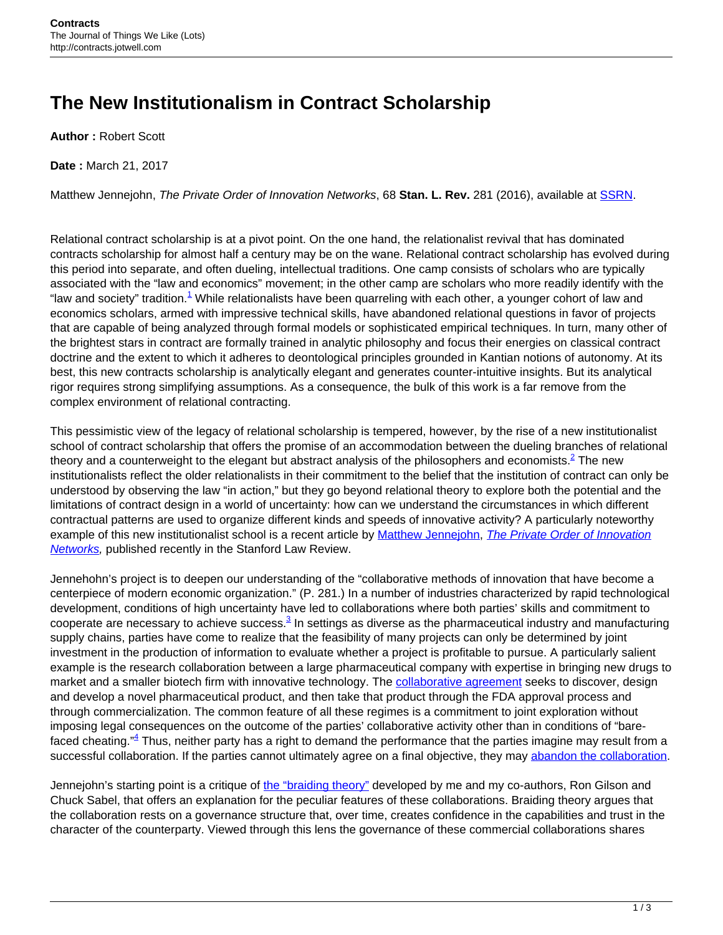## **The New Institutionalism in Contract Scholarship**

**Author :** Robert Scott

**Date :** March 21, 2017

Matthew Jennejohn, The Private Order of Innovation Networks, 68 **Stan. L. Rev.** 281 (2016), available at [SSRN](https://papers.ssrn.com/sol3/papers.cfm?abstract_id=2680488).

Relational contract scholarship is at a pivot point. On the one hand, the relationalist revival that has dominated contracts scholarship for almost half a century may be on the wane. Relational contract scholarship has evolved during this period into separate, and often dueling, intellectual traditions. One camp consists of scholars who are typically associated with the "law and economics" movement; in the other camp are scholars who more readily identify with the "law and society" tradition.<sup>1</sup> While relationalists have been quarreling with each other, a younger cohort of law and economics scholars, armed with impressive technical skills, have abandoned relational questions in favor of projects that are capable of being analyzed through formal models or sophisticated empirical techniques. In turn, many other of the brightest stars in contract are formally trained in analytic philosophy and focus their energies on classical contract doctrine and the extent to which it adheres to deontological principles grounded in Kantian notions of autonomy. At its best, this new contracts scholarship is analytically elegant and generates counter-intuitive insights. But its analytical rigor requires strong simplifying assumptions. As a consequence, the bulk of this work is a far remove from the complex environment of relational contracting.

This pessimistic view of the legacy of relational scholarship is tempered, however, by the rise of a new institutionalist school of contract scholarship that offers the promise of an accommodation between the dueling branches of relational theory and a counterweight to the elegant but abstract analysis of the philosophers and economists.<sup>2</sup> The new institutionalists reflect the older relationalists in their commitment to the belief that the institution of contract can only be understood by observing the law "in action," but they go beyond relational theory to explore both the potential and the limitations of contract design in a world of uncertainty: how can we understand the circumstances in which different contractual patterns are used to organize different kinds and speeds of innovative activity? A particularly noteworthy example of this new institutionalist school is a recent article by [Matthew Jennejohn,](http://www.law2.byu.edu/faculty/profile_2016.php?id=161) [The Private Order of Innovation](https://papers.ssrn.com/sol3/papers.cfm?abstract_id=2680488) **[Networks](https://papers.ssrn.com/sol3/papers.cfm?abstract_id=2680488)**, published recently in the Stanford Law Review.

Jennehohn's project is to deepen our understanding of the "collaborative methods of innovation that have become a centerpiece of modern economic organization." (P. 281.) In a number of industries characterized by rapid technological development, conditions of high uncertainty have led to collaborations where both parties' skills and commitment to cooperate are necessary to achieve success.<sup>3</sup> In settings as diverse as the pharmaceutical industry and manufacturing supply chains, parties have come to realize that the feasibility of many projects can only be determined by joint investment in the production of information to evaluate whether a project is profitable to pursue. A particularly salient example is the research collaboration between a large pharmaceutical company with expertise in bringing new drugs to market and a smaller biotech firm with innovative technology. The [collaborative agreement](http://contracts.onecle.com/ligand/warner.rd.1999.09.01.shtml) seeks to discover, design and develop a novel pharmaceutical product, and then take that product through the FDA approval process and through commercialization. The common feature of all these regimes is a commitment to joint exploration without imposing legal consequences on the outcome of the parties' collaborative activity other than in conditions of "barefaced cheating." <sup>4</sup> Thus, neither party has a right to demand the performance that the parties imagine may result from a successful collaboration. If the parties cannot ultimately agree on a final objective, they may [abandon the collaboration.](http://www2.law.columbia.edu/sabel/papers/contracting%20for%20innovation.pdf)

Jennejohn's starting point is a critique of [the "braiding theory"](https://academiccommons.columbia.edu/catalog/ac:192383) developed by me and my co-authors, Ron Gilson and Chuck Sabel, that offers an explanation for the peculiar features of these collaborations. Braiding theory argues that the collaboration rests on a governance structure that, over time, creates confidence in the capabilities and trust in the character of the counterparty. Viewed through this lens the governance of these commercial collaborations shares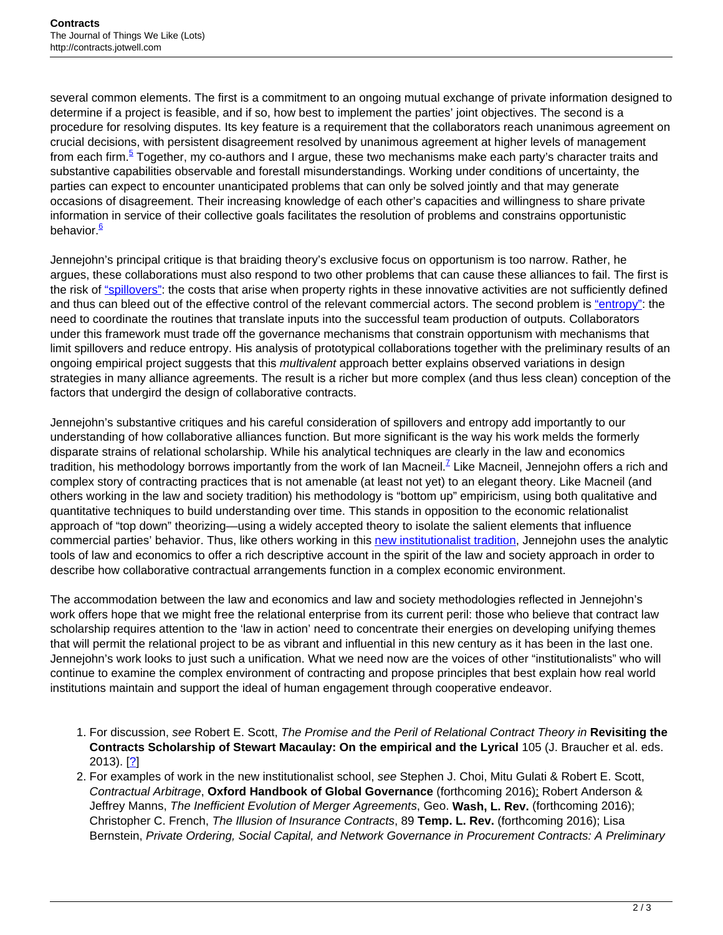several common elements. The first is a commitment to an ongoing mutual exchange of private information designed to determine if a project is feasible, and if so, how best to implement the parties' joint objectives. The second is a procedure for resolving disputes. Its key feature is a requirement that the collaborators reach unanimous agreement on crucial decisions, with persistent disagreement resolved by unanimous agreement at higher levels of management from each firm.<sup>5</sup> Together, my co-authors and I argue, these two mechanisms make each party's character traits and substantive capabilities observable and forestall misunderstandings. Working under conditions of uncertainty, the parties can expect to encounter unanticipated problems that can only be solved jointly and that may generate occasions of disagreement. Their increasing knowledge of each other's capacities and willingness to share private information in service of their collective goals facilitates the resolution of problems and constrains opportunistic behavior.<sup>6</sup>

Jennejohn's principal critique is that braiding theory's exclusive focus on opportunism is too narrow. Rather, he argues, these collaborations must also respond to two other problems that can cause these alliances to fail. The first is the risk of ["spillovers":](https://papers.ssrn.com/sol3/papers.cfm?abstract_id=898881) the costs that arise when property rights in these innovative activities are not sufficiently defined and thus can bleed out of the effective control of the relevant commercial actors. The second problem is ["entropy":](https://www.jstor.org/stable/2393616?seq=1#page_scan_tab_contents) the need to coordinate the routines that translate inputs into the successful team production of outputs. Collaborators under this framework must trade off the governance mechanisms that constrain opportunism with mechanisms that limit spillovers and reduce entropy. His analysis of prototypical collaborations together with the preliminary results of an ongoing empirical project suggests that this multivalent approach better explains observed variations in design strategies in many alliance agreements. The result is a richer but more complex (and thus less clean) conception of the factors that undergird the design of collaborative contracts.

Jennejohn's substantive critiques and his careful consideration of spillovers and entropy add importantly to our understanding of how collaborative alliances function. But more significant is the way his work melds the formerly disparate strains of relational scholarship. While his analytical techniques are clearly in the law and economics tradition, his methodology borrows importantly from the work of Ian Macneil.<sup>Z</sup> Like Macneil, Jennejohn offers a rich and complex story of contracting practices that is not amenable (at least not yet) to an elegant theory. Like Macneil (and others working in the law and society tradition) his methodology is "bottom up" empiricism, using both qualitative and quantitative techniques to build understanding over time. This stands in opposition to the economic relationalist approach of "top down" theorizing—using a widely accepted theory to isolate the salient elements that influence commercial parties' behavior. Thus, like others working in this [new institutionalist tradition](http://scholarship.law.duke.edu/cgi/viewcontent.cgi?article=6381&context=faculty_scholarship), Jennejohn uses the analytic tools of law and economics to offer a rich descriptive account in the spirit of the law and society approach in order to describe how collaborative contractual arrangements function in a complex economic environment.

The accommodation between the law and economics and law and society methodologies reflected in Jennejohn's work offers hope that we might free the relational enterprise from its current peril: those who believe that contract law scholarship requires attention to the 'law in action' need to concentrate their energies on developing unifying themes that will permit the relational project to be as vibrant and influential in this new century as it has been in the last one. Jennejohn's work looks to just such a unification. What we need now are the voices of other "institutionalists" who will continue to examine the complex environment of contracting and propose principles that best explain how real world institutions maintain and support the ideal of human engagement through cooperative endeavor.

- 1. For discussion, see Robert E. Scott, The Promise and the Peril of Relational Contract Theory in **Revisiting the Contracts Scholarship of Stewart Macaulay: On the empirical and the Lyrical** 105 (J. Braucher et al. eds.  $2013$ . [ $\frac{2}{1}$ ]
- 2. For examples of work in the new institutionalist school, see Stephen J. Choi, Mitu Gulati & Robert E. Scott, Contractual Arbitrage, **Oxford Handbook of Global Governance** (forthcoming 2016); Robert Anderson & Jeffrey Manns, The Inefficient Evolution of Merger Agreements, Geo. **Wash, L. Rev.** (forthcoming 2016); Christopher C. French, The Illusion of Insurance Contracts, 89 **Temp. L. Rev.** (forthcoming 2016); Lisa Bernstein, Private Ordering, Social Capital, and Network Governance in Procurement Contracts: A Preliminary